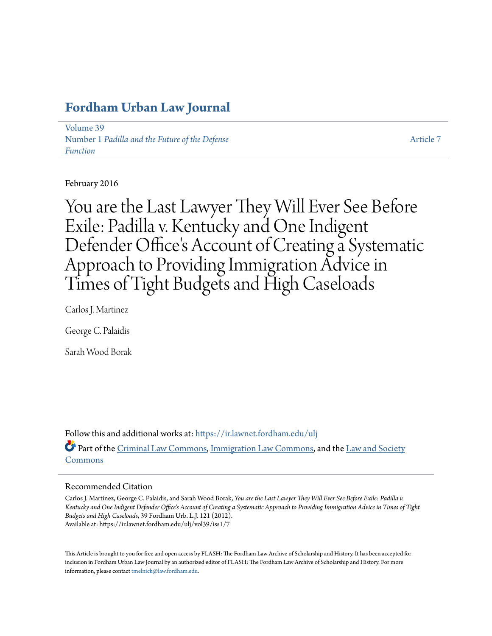# **[Fordham Urban Law Journal](https://ir.lawnet.fordham.edu/ulj?utm_source=ir.lawnet.fordham.edu%2Fulj%2Fvol39%2Fiss1%2F7&utm_medium=PDF&utm_campaign=PDFCoverPages)**

[Volume 39](https://ir.lawnet.fordham.edu/ulj/vol39?utm_source=ir.lawnet.fordham.edu%2Fulj%2Fvol39%2Fiss1%2F7&utm_medium=PDF&utm_campaign=PDFCoverPages) Number 1 *[Padilla and the Future of the Defense](https://ir.lawnet.fordham.edu/ulj/vol39/iss1?utm_source=ir.lawnet.fordham.edu%2Fulj%2Fvol39%2Fiss1%2F7&utm_medium=PDF&utm_campaign=PDFCoverPages) [Function](https://ir.lawnet.fordham.edu/ulj/vol39/iss1?utm_source=ir.lawnet.fordham.edu%2Fulj%2Fvol39%2Fiss1%2F7&utm_medium=PDF&utm_campaign=PDFCoverPages)*

[Article 7](https://ir.lawnet.fordham.edu/ulj/vol39/iss1/7?utm_source=ir.lawnet.fordham.edu%2Fulj%2Fvol39%2Fiss1%2F7&utm_medium=PDF&utm_campaign=PDFCoverPages)

February 2016

You are the Last Lawyer They Will Ever See Before Exile: Padilla v. Kentucky and One Indigent Defender Office's Account of Creating a Systematic Approach to Providing Immigration Advice in Times of Tight Budgets and High Caseloads

Carlos J. Martinez

George C. Palaidis

Sarah Wood Borak

Follow this and additional works at: [https://ir.lawnet.fordham.edu/ulj](https://ir.lawnet.fordham.edu/ulj?utm_source=ir.lawnet.fordham.edu%2Fulj%2Fvol39%2Fiss1%2F7&utm_medium=PDF&utm_campaign=PDFCoverPages) Part of the [Criminal Law Commons](http://network.bepress.com/hgg/discipline/912?utm_source=ir.lawnet.fordham.edu%2Fulj%2Fvol39%2Fiss1%2F7&utm_medium=PDF&utm_campaign=PDFCoverPages), [Immigration Law Commons](http://network.bepress.com/hgg/discipline/604?utm_source=ir.lawnet.fordham.edu%2Fulj%2Fvol39%2Fiss1%2F7&utm_medium=PDF&utm_campaign=PDFCoverPages), and the [Law and Society](http://network.bepress.com/hgg/discipline/853?utm_source=ir.lawnet.fordham.edu%2Fulj%2Fvol39%2Fiss1%2F7&utm_medium=PDF&utm_campaign=PDFCoverPages) [Commons](http://network.bepress.com/hgg/discipline/853?utm_source=ir.lawnet.fordham.edu%2Fulj%2Fvol39%2Fiss1%2F7&utm_medium=PDF&utm_campaign=PDFCoverPages)

#### Recommended Citation

Carlos J. Martinez, George C. Palaidis, and Sarah Wood Borak, *You are the Last Lawyer They Will Ever See Before Exile: Padilla v. Kentucky and One Indigent Defender Office's Account of Creating a Systematic Approach to Providing Immigration Advice in Times of Tight Budgets and High Caseloads*, 39 Fordham Urb. L.J. 121 (2012). Available at: https://ir.lawnet.fordham.edu/ulj/vol39/iss1/7

This Article is brought to you for free and open access by FLASH: The Fordham Law Archive of Scholarship and History. It has been accepted for inclusion in Fordham Urban Law Journal by an authorized editor of FLASH: The Fordham Law Archive of Scholarship and History. For more information, please contact [tmelnick@law.fordham.edu](mailto:tmelnick@law.fordham.edu).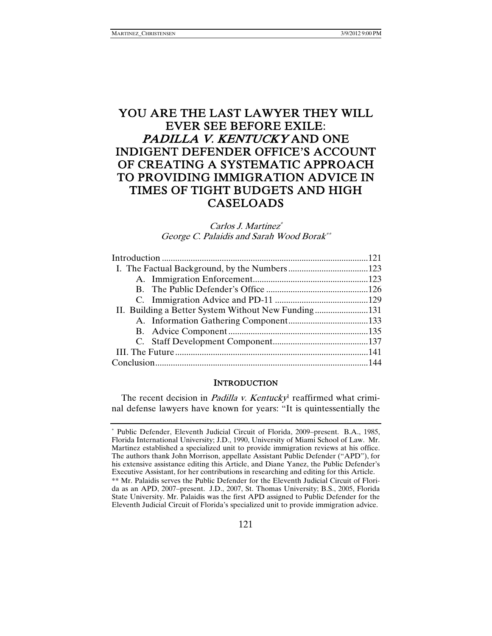# YOU ARE THE LAST LAWYER THEY WILL EVER SEE BEFORE EXILE: PADILLA V. KENTUCKY AND ONE INDIGENT DEFENDER OFFICE'S ACCOUNT OF CREATING A SYSTEMATIC APPROACH TO PROVIDING IMMIGRATION ADVICE IN TIMES OF TIGHT BUDGETS AND HIGH CASELOADS

#### Carlos J. Martinez\* George C. Palaidis and Sarah Wood Borak\*\*

| II. Building a Better System Without New Funding131 |  |  |
|-----------------------------------------------------|--|--|
|                                                     |  |  |
|                                                     |  |  |
|                                                     |  |  |
|                                                     |  |  |
|                                                     |  |  |
|                                                     |  |  |

#### **INTRODUCTION**

The recent decision in *Padilla v. Kentucky*<sup>1</sup> reaffirmed what criminal defense lawyers have known for years: "It is quintessentially the

<sup>\*</sup> Public Defender, Eleventh Judicial Circuit of Florida, 2009–present. B.A., 1985, Florida International University; J.D., 1990, University of Miami School of Law. Mr. Martinez established a specialized unit to provide immigration reviews at his office. The authors thank John Morrison, appellate Assistant Public Defender ("APD"), for his extensive assistance editing this Article, and Diane Yanez, the Public Defender's Executive Assistant, for her contributions in researching and editing for this Article. \*\* Mr. Palaidis serves the Public Defender for the Eleventh Judicial Circuit of Florida as an APD, 2007–present. J.D., 2007, St. Thomas University; B.S., 2005, Florida State University. Mr. Palaidis was the first APD assigned to Public Defender for the Eleventh Judicial Circuit of Florida's specialized unit to provide immigration advice.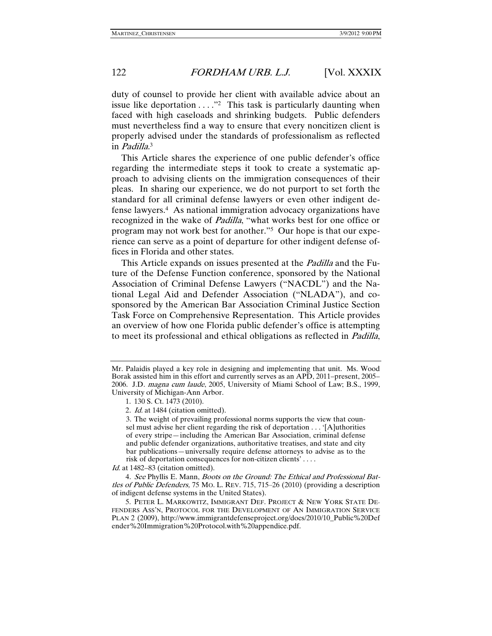duty of counsel to provide her client with available advice about an issue like deportation  $\dots$ ."<sup>2</sup> This task is particularly daunting when faced with high caseloads and shrinking budgets. Public defenders must nevertheless find a way to ensure that every noncitizen client is properly advised under the standards of professionalism as reflected in *Padilla*.<sup>3</sup>

This Article shares the experience of one public defender's office regarding the intermediate steps it took to create a systematic approach to advising clients on the immigration consequences of their pleas. In sharing our experience, we do not purport to set forth the standard for all criminal defense lawyers or even other indigent defense lawyers.4 As national immigration advocacy organizations have recognized in the wake of *Padilla*, "what works best for one office or program may not work best for another."5 Our hope is that our experience can serve as a point of departure for other indigent defense offices in Florida and other states.

This Article expands on issues presented at the *Padilla* and the Future of the Defense Function conference, sponsored by the National Association of Criminal Defense Lawyers ("NACDL") and the National Legal Aid and Defender Association ("NLADA"), and cosponsored by the American Bar Association Criminal Justice Section Task Force on Comprehensive Representation. This Article provides an overview of how one Florida public defender's office is attempting to meet its professional and ethical obligations as reflected in Padilla,

Id. at 1482–83 (citation omitted).

Mr. Palaidis played a key role in designing and implementing that unit. Ms. Wood Borak assisted him in this effort and currently serves as an APD, 2011–present, 2005– 2006. J.D. magna cum laude, 2005, University of Miami School of Law; B.S., 1999, University of Michigan-Ann Arbor.

 <sup>1. 130</sup> S. Ct. 1473 (2010).

<sup>2</sup>. Id. at 1484 (citation omitted).

<sup>3.</sup> The weight of prevailing professional norms supports the view that counsel must advise her client regarding the risk of deportation . . . '[A]uthorities of every stripe—including the American Bar Association, criminal defense and public defender organizations, authoritative treatises, and state and city bar publications—universally require defense attorneys to advise as to the risk of deportation consequences for non-citizen clients' . . . .

<sup>4</sup>. See Phyllis E. Mann, Boots on the Ground: The Ethical and Professional Battles of Public Defenders, 75 MO. L. REV. 715, 715–26 (2010) (providing a description of indigent defense systems in the United States).

 <sup>5.</sup> PETER L. MARKOWITZ, IMMIGRANT DEF. PROJECT & NEW YORK STATE DE-FENDERS ASS'N, PROTOCOL FOR THE DEVELOPMENT OF AN IMMIGRATION SERVICE PLAN 2 (2009), http://www.immigrantdefenseproject.org/docs/2010/10\_Public%20Def ender%20Immigration%20Protocol.with%20appendice.pdf.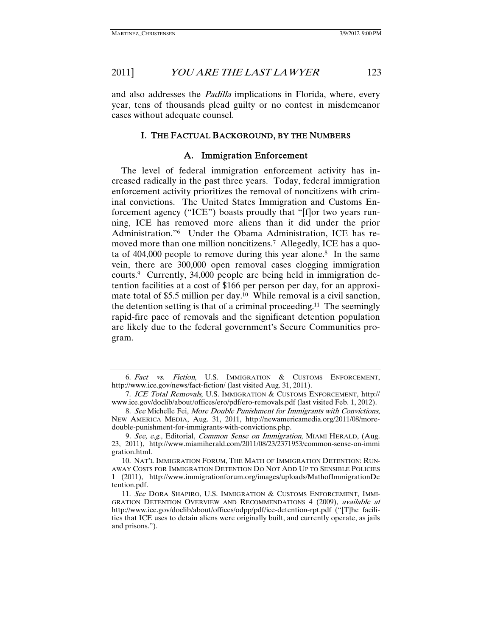and also addresses the *Padilla* implications in Florida, where, every year, tens of thousands plead guilty or no contest in misdemeanor cases without adequate counsel.

#### I. THE FACTUAL BACKGROUND, BY THE NUMBERS

#### A. Immigration Enforcement

The level of federal immigration enforcement activity has increased radically in the past three years. Today, federal immigration enforcement activity prioritizes the removal of noncitizens with criminal convictions. The United States Immigration and Customs Enforcement agency ("ICE") boasts proudly that "[f]or two years running, ICE has removed more aliens than it did under the prior Administration."6 Under the Obama Administration, ICE has removed more than one million noncitizens.<sup>7</sup> Allegedly, ICE has a quota of  $404,000$  people to remove during this year alone.<sup>8</sup> In the same vein, there are 300,000 open removal cases clogging immigration courts.9 Currently, 34,000 people are being held in immigration detention facilities at a cost of \$166 per person per day, for an approximate total of \$5.5 million per day.10 While removal is a civil sanction, the detention setting is that of a criminal proceeding.<sup>11</sup> The seemingly rapid-fire pace of removals and the significant detention population are likely due to the federal government's Secure Communities program.

 <sup>6.</sup> Fact vs. Fiction, U.S. IMMIGRATION & CUSTOMS ENFORCEMENT, http://www.ice.gov/news/fact-fiction/ (last visited Aug. 31, 2011).

 <sup>7.</sup> ICE Total Removals, U.S. IMMIGRATION & CUSTOMS ENFORCEMENT, http:// www.ice.gov/doclib/about/offices/ero/pdf/ero-removals.pdf (last visited Feb. 1, 2012).

 <sup>8.</sup> See Michelle Fei, More Double Punishment for Immigrants with Convictions, NEW AMERICA MEDIA, Aug. 31, 2011, http://newamericamedia.org/2011/08/moredouble-punishment-for-immigrants-with-convictions.php.

<sup>9.</sup> See, e.g., Editorial, Common Sense on Immigration, MIAMI HERALD, (Aug. 23, 2011), http://www.miamiherald.com/2011/08/23/2371953/common-sense-on-immi gration.html.

 <sup>10.</sup> NAT'L IMMIGRATION FORUM, THE MATH OF IMMIGRATION DETENTION: RUN-AWAY COSTS FOR IMMIGRATION DETENTION DO NOT ADD UP TO SENSIBLE POLICIES 1 (2011), http://www.immigrationforum.org/images/uploads/MathofImmigrationDe tention.pdf.

<sup>11.</sup> See DORA SHAPIRO, U.S. IMMIGRATION & CUSTOMS ENFORCEMENT, IMMI-GRATION DETENTION OVERVIEW AND RECOMMENDATIONS 4 (2009), available at http://www.ice.gov/doclib/about/offices/odpp/pdf/ice-detention-rpt.pdf ("[T]he facilities that ICE uses to detain aliens were originally built, and currently operate, as jails and prisons.").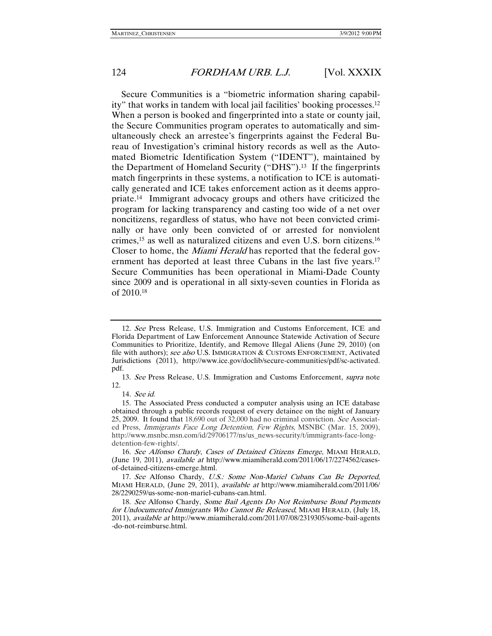Secure Communities is a "biometric information sharing capability" that works in tandem with local jail facilities' booking processes.12 When a person is booked and fingerprinted into a state or county jail, the Secure Communities program operates to automatically and simultaneously check an arrestee's fingerprints against the Federal Bureau of Investigation's criminal history records as well as the Automated Biometric Identification System ("IDENT"), maintained by the Department of Homeland Security ("DHS").13 If the fingerprints match fingerprints in these systems, a notification to ICE is automatically generated and ICE takes enforcement action as it deems appropriate.14 Immigrant advocacy groups and others have criticized the program for lacking transparency and casting too wide of a net over noncitizens, regardless of status, who have not been convicted criminally or have only been convicted of or arrested for nonviolent crimes,15 as well as naturalized citizens and even U.S. born citizens.16 Closer to home, the Miami Herald has reported that the federal government has deported at least three Cubans in the last five years.<sup>17</sup> Secure Communities has been operational in Miami-Dade County since 2009 and is operational in all sixty-seven counties in Florida as of 2010.18

 <sup>12.</sup> See Press Release, U.S. Immigration and Customs Enforcement, ICE and Florida Department of Law Enforcement Announce Statewide Activation of Secure Communities to Prioritize, Identify, and Remove Illegal Aliens (June 29, 2010) (on file with authors); see also U.S. IMMIGRATION & CUSTOMS ENFORCEMENT, Activated Jurisdictions (2011), http://www.ice.gov/doclib/secure-communities/pdf/sc-activated. pdf.

 <sup>13.</sup> See Press Release, U.S. Immigration and Customs Enforcement, supra note 12.

<sup>14</sup>. See id.

 <sup>15.</sup> The Associated Press conducted a computer analysis using an ICE database obtained through a public records request of every detainee on the night of January 25, 2009. It found that 18,690 out of 32,000 had no criminal conviction. See Associated Press, Immigrants Face Long Detention, Few Rights, MSNBC (Mar. 15, 2009), http://www.msnbc.msn.com/id/29706177/ns/us\_news-security/t/immigrants-face-longdetention-few-rights/.

 <sup>16.</sup> See Alfonso Chardy, Cases of Detained Citizens Emerge, MIAMI HERALD, (June 19, 2011), available at http://www.miamiherald.com/2011/06/17/2274562/casesof-detained-citizens-emerge.html.

 <sup>17.</sup> See Alfonso Chardy, U.S.: Some Non-Mariel Cubans Can Be Deported, MIAMI HERALD, (June 29, 2011), available at http://www.miamiherald.com/2011/06/ 28/2290259/us-some-non-mariel-cubans-can.html.

 <sup>18.</sup> See Alfonso Chardy, Some Bail Agents Do Not Reimburse Bond Payments for Undocumented Immigrants Who Cannot Be Released, MIAMI HERALD, (July 18, 2011), available at http://www.miamiherald.com/2011/07/08/2319305/some-bail-agents -do-not-reimburse.html.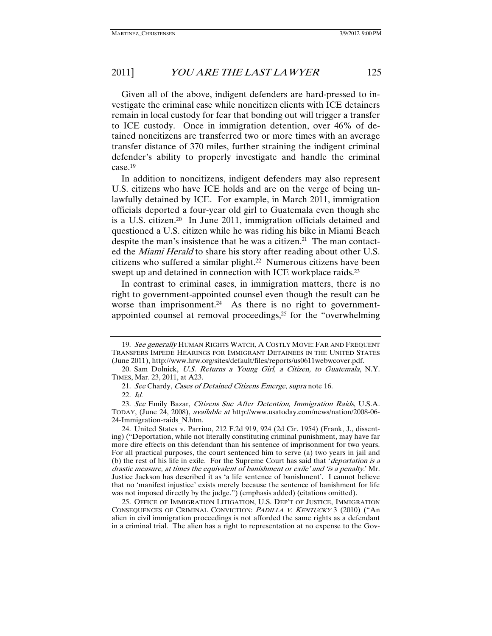Given all of the above, indigent defenders are hard-pressed to investigate the criminal case while noncitizen clients with ICE detainers remain in local custody for fear that bonding out will trigger a transfer to ICE custody. Once in immigration detention, over 46% of detained noncitizens are transferred two or more times with an average transfer distance of 370 miles, further straining the indigent criminal defender's ability to properly investigate and handle the criminal case.19

In addition to noncitizens, indigent defenders may also represent U.S. citizens who have ICE holds and are on the verge of being unlawfully detained by ICE. For example, in March 2011, immigration officials deported a four-year old girl to Guatemala even though she is a U.S. citizen.20 In June 2011, immigration officials detained and questioned a U.S. citizen while he was riding his bike in Miami Beach despite the man's insistence that he was a citizen.<sup>21</sup> The man contacted the Miami Herald to share his story after reading about other U.S. citizens who suffered a similar plight.<sup>22</sup> Numerous citizens have been swept up and detained in connection with ICE workplace raids.<sup>23</sup>

In contrast to criminal cases, in immigration matters, there is no right to government-appointed counsel even though the result can be worse than imprisonment.<sup>24</sup> As there is no right to governmentappointed counsel at removal proceedings,25 for the "overwhelming

 25. OFFICE OF IMMIGRATION LITIGATION, U.S. DEP'T OF JUSTICE, IMMIGRATION CONSEQUENCES OF CRIMINAL CONVICTION: <sup>P</sup>ADILLA V. <sup>K</sup>ENTUCKY 3 (2010) ("An alien in civil immigration proceedings is not afforded the same rights as a defendant in a criminal trial. The alien has a right to representation at no expense to the Gov-

<sup>19.</sup> See generally HUMAN RIGHTS WATCH, A COSTLY MOVE: FAR AND FREQUENT TRANSFERS IMPEDE HEARINGS FOR IMMIGRANT DETAINEES IN THE UNITED STATES (June 2011), http://www.hrw.org/sites/default/files/reports/us0611webwcover.pdf.

 <sup>20.</sup> Sam Dolnick, U.S. Returns a Young Girl, a Citizen, to Guatemala, N.Y. TIMES, Mar. 23, 2011, at A23.

 <sup>21.</sup> See Chardy, Cases of Detained Citizens Emerge, supra note 16.

 <sup>22.</sup> Id.

 <sup>23.</sup> See Emily Bazar, Citizens Sue After Detention, Immigration Raids, U.S.A. TODAY, (June 24, 2008), available at http://www.usatoday.com/news/nation/2008-06- 24-Immigration-raids\_N.htm.

 <sup>24.</sup> United States v. Parrino, 212 F.2d 919, 924 (2d Cir. 1954) (Frank, J., dissenting) ("Deportation, while not literally constituting criminal punishment, may have far more dire effects on this defendant than his sentence of imprisonment for two years. For all practical purposes, the court sentenced him to serve (a) two years in jail and (b) the rest of his life in exile. For the Supreme Court has said that 'deportation is a drastic measure, at times the equivalent of banishment or exile' and 'is a penalty.' Mr. Justice Jackson has described it as 'a life sentence of banishment'. I cannot believe that no 'manifest injustice' exists merely because the sentence of banishment for life was not imposed directly by the judge.") (emphasis added) (citations omitted).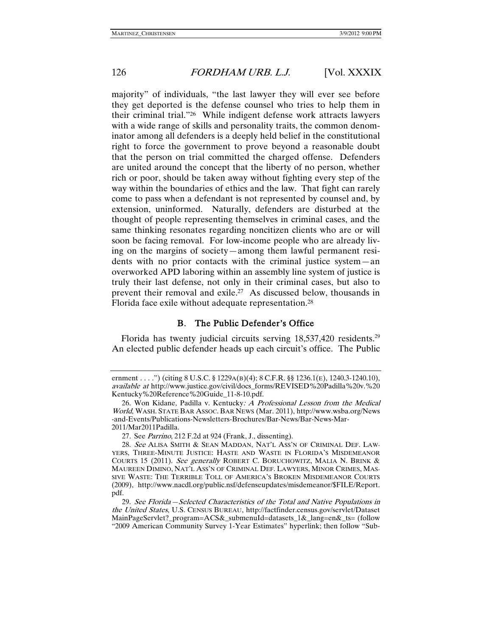majority" of individuals, "the last lawyer they will ever see before they get deported is the defense counsel who tries to help them in their criminal trial."26 While indigent defense work attracts lawyers with a wide range of skills and personality traits, the common denominator among all defenders is a deeply held belief in the constitutional right to force the government to prove beyond a reasonable doubt that the person on trial committed the charged offense. Defenders are united around the concept that the liberty of no person, whether rich or poor, should be taken away without fighting every step of the way within the boundaries of ethics and the law. That fight can rarely come to pass when a defendant is not represented by counsel and, by extension, uninformed. Naturally, defenders are disturbed at the thought of people representing themselves in criminal cases, and the same thinking resonates regarding noncitizen clients who are or will soon be facing removal. For low-income people who are already living on the margins of society—among them lawful permanent residents with no prior contacts with the criminal justice system—an overworked APD laboring within an assembly line system of justice is truly their last defense, not only in their criminal cases, but also to prevent their removal and exile.27 As discussed below, thousands in Florida face exile without adequate representation.28

#### B. The Public Defender's Office

Florida has twenty judicial circuits serving 18,537,420 residents.<sup>29</sup> An elected public defender heads up each circuit's office. The Public

ernment . . . .") (citing 8 U.S.C. § 1229A(B)(4); 8 C.F.R. §§ 1236.1(E), 1240.3-1240.10), available at http://www.justice.gov/civil/docs\_forms/REVISED%20Padilla%20v.%20 Kentucky%20Reference%20Guide\_11-8-10.pdf.

<sup>26.</sup> Won Kidane, Padilla v. Kentucky: A Professional Lesson from the Medical World, WASH. STATE BAR ASSOC. BAR NEWS (Mar. 2011), http://www.wsba.org/News -and-Events/Publications-Newsletters-Brochures/Bar-News/Bar-News-Mar-2011/Mar2011Padilla.

<sup>27</sup>. See Parrino, 212 F.2d at 924 (Frank, J., dissenting).

 <sup>28.</sup> See ALISA SMITH & SEAN MADDAN, NAT'L ASS'N OF CRIMINAL DEF. LAW-YERS, THREE-MINUTE JUSTICE: HASTE AND WASTE IN FLORIDA'S MISDEMEANOR COURTS 15 (2011). See generally ROBERT C. BORUCHOWITZ, MALIA N. BRINK & MAUREEN DIMINO, NAT'L ASS'N OF CRIMINAL DEF. LAWYERS, MINOR CRIMES, MAS-SIVE WASTE: THE TERRIBLE TOLL OF AMERICA'S BROKEN MISDEMEANOR COURTS (2009), http://www.nacdl.org/public.nsf/defenseupdates/misdemeanor/\$FILE/Report. pdf.

 <sup>29.</sup> See Florida—Selected Characteristics of the Total and Native Populations in the United States, U.S. CENSUS BUREAU, http://factfinder.census.gov/servlet/Dataset MainPageServlet?\_program=ACS&\_submenuId=datasets\_1&\_lang=en&\_ts= (follow "2009 American Community Survey 1-Year Estimates" hyperlink; then follow "Sub-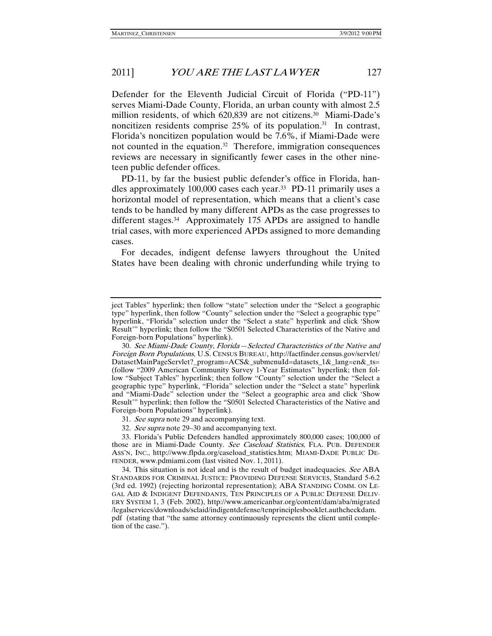Defender for the Eleventh Judicial Circuit of Florida ("PD-11") serves Miami-Dade County, Florida, an urban county with almost 2.5 million residents, of which 620,839 are not citizens.<sup>30</sup> Miami-Dade's noncitizen residents comprise  $25\%$  of its population.<sup>31</sup> In contrast, Florida's noncitizen population would be 7.6%, if Miami-Dade were not counted in the equation.<sup>32</sup> Therefore, immigration consequences reviews are necessary in significantly fewer cases in the other nineteen public defender offices.

PD-11, by far the busiest public defender's office in Florida, handles approximately 100,000 cases each year.33 PD-11 primarily uses a horizontal model of representation, which means that a client's case tends to be handled by many different APDs as the case progresses to different stages.34 Approximately 175 APDs are assigned to handle trial cases, with more experienced APDs assigned to more demanding cases.

For decades, indigent defense lawyers throughout the United States have been dealing with chronic underfunding while trying to

- 31. See supra note 29 and accompanying text.
- 32. See supra note 29–30 and accompanying text.

ject Tables" hyperlink; then follow "state" selection under the "Select a geographic type" hyperlink, then follow "County" selection under the "Select a geographic type" hyperlink, "Florida" selection under the "Select a state" hyperlink and click 'Show Result'" hyperlink; then follow the "S0501 Selected Characteristics of the Native and Foreign-born Populations" hyperlink).

 <sup>30.</sup> See Miami-Dade County, Florida—Selected Characteristics of the Native and Foreign Born Populations, U.S. CENSUS BUREAU, http://factfinder.census.gov/servlet/ DatasetMainPageServlet?\_program=ACS&\_submenuId=datasets\_1&\_lang=en&\_ts= (follow "2009 American Community Survey 1-Year Estimates" hyperlink; then follow "Subject Tables" hyperlink; then follow "County" selection under the "Select a geographic type" hyperlink, "Florida" selection under the "Select a state" hyperlink and "Miami-Dade" selection under the "Select a geographic area and click 'Show Result'" hyperlink; then follow the "S0501 Selected Characteristics of the Native and Foreign-born Populations" hyperlink).

 <sup>33.</sup> Florida's Public Defenders handled approximately 800,000 cases; 100,000 of those are in Miami-Dade County. See Caseload Statistics, FLA. PUB. DEFENDER ASS'N, INC., http://www.flpda.org/caseload\_statistics.htm; MIAMI-DADE PUBLIC DE-FENDER, www.pdmiami.com (last visited Nov. 1, 2011).

<sup>34.</sup> This situation is not ideal and is the result of budget inadequacies. See ABA STANDARDS FOR CRIMINAL JUSTICE: PROVIDING DEFENSE SERVICES, Standard 5-6.2 (3rd ed. 1992) (rejecting horizontal representation); ABA STANDING COMM. ON LE-GAL AID & INDIGENT DEFENDANTS, TEN PRINCIPLES OF A PUBLIC DEFENSE DELIV-ERY SYSTEM 1, 3 (Feb. 2002), http://www.americanbar.org/content/dam/aba/migrated /legalservices/downloads/sclaid/indigentdefense/tenprinciplesbooklet.authcheckdam. pdf (stating that "the same attorney continuously represents the client until completion of the case.").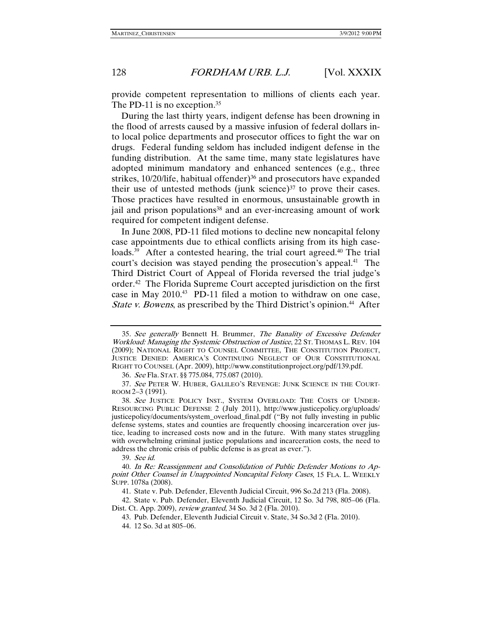provide competent representation to millions of clients each year. The PD-11 is no exception.<sup>35</sup>

During the last thirty years, indigent defense has been drowning in the flood of arrests caused by a massive infusion of federal dollars into local police departments and prosecutor offices to fight the war on drugs. Federal funding seldom has included indigent defense in the funding distribution. At the same time, many state legislatures have adopted minimum mandatory and enhanced sentences (e.g., three strikes, 10/20/life, habitual offender)<sup>36</sup> and prosecutors have expanded their use of untested methods (junk science) $37$  to prove their cases. Those practices have resulted in enormous, unsustainable growth in jail and prison populations<sup>38</sup> and an ever-increasing amount of work required for competent indigent defense.

In June 2008, PD-11 filed motions to decline new noncapital felony case appointments due to ethical conflicts arising from its high caseloads.<sup>39</sup> After a contested hearing, the trial court agreed.<sup>40</sup> The trial court's decision was stayed pending the prosecution's appeal.<sup>41</sup> The Third District Court of Appeal of Florida reversed the trial judge's order.42 The Florida Supreme Court accepted jurisdiction on the first case in May 2010.<sup>43</sup> PD-11 filed a motion to withdraw on one case, State v. Bowens, as prescribed by the Third District's opinion.<sup>44</sup> After

<sup>35</sup>. See generally Bennett H. Brummer, The Banality of Excessive Defender Workload: Managing the Systemic Obstruction of Justice, 22 ST. THOMAS L. REV. 104 (2009); NATIONAL RIGHT TO COUNSEL COMMITTEE, THE CONSTITUTION PROJECT, JUSTICE DENIED: AMERICA'S CONTINUING NEGLECT OF OUR CONSTITUTIONAL RIGHT TO COUNSEL (Apr. 2009), http://www.constitutionproject.org/pdf/139.pdf.

<sup>36</sup>. See Fla. STAT. §§ 775.084, 775.087 (2010).

<sup>37</sup>. See PETER W. HUBER, GALILEO'S REVENGE: JUNK SCIENCE IN THE COURT-ROOM 2–3 (1991).

 <sup>38.</sup> See JUSTICE POLICY INST., SYSTEM OVERLOAD: THE COSTS OF UNDER-RESOURCING PUBLIC DEFENSE 2 (July 2011), http://www.justicepolicy.org/uploads/ justicepolicy/documents/system\_overload\_final.pdf ("By not fully investing in public defense systems, states and counties are frequently choosing incarceration over justice, leading to increased costs now and in the future. With many states struggling with overwhelming criminal justice populations and incarceration costs, the need to address the chronic crisis of public defense is as great as ever.").

 <sup>39.</sup> See id.

 <sup>40.</sup> In Re: Reassignment and Consolidation of Public Defender Motions to Appoint Other Counsel in Unappointed Noncapital Felony Cases, 15 FLA. L. WEEKLY SUPP. 1078a (2008).

 <sup>41.</sup> State v. Pub. Defender, Eleventh Judicial Circuit, 996 So.2d 213 (Fla. 2008).

 <sup>42.</sup> State v. Pub. Defender, Eleventh Judicial Circuit, 12 So. 3d 798, 805–06 (Fla. Dist. Ct. App. 2009), review granted, 34 So. 3d 2 (Fla. 2010).

 <sup>43.</sup> Pub. Defender, Eleventh Judicial Circuit v. State, 34 So.3d 2 (Fla. 2010).

 <sup>44. 12</sup> So. 3d at 805–06.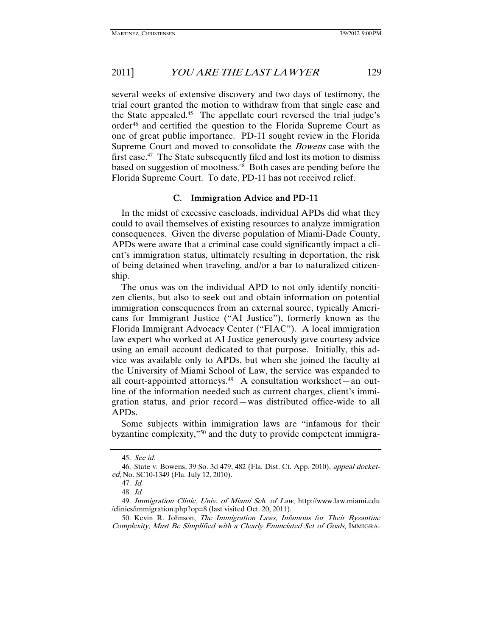several weeks of extensive discovery and two days of testimony, the trial court granted the motion to withdraw from that single case and the State appealed.45 The appellate court reversed the trial judge's order46 and certified the question to the Florida Supreme Court as one of great public importance. PD-11 sought review in the Florida Supreme Court and moved to consolidate the Bowens case with the first case.<sup>47</sup> The State subsequently filed and lost its motion to dismiss based on suggestion of mootness.48 Both cases are pending before the Florida Supreme Court. To date, PD-11 has not received relief.

#### C. Immigration Advice and PD-11

In the midst of excessive caseloads, individual APDs did what they could to avail themselves of existing resources to analyze immigration consequences. Given the diverse population of Miami-Dade County, APDs were aware that a criminal case could significantly impact a client's immigration status, ultimately resulting in deportation, the risk of being detained when traveling, and/or a bar to naturalized citizenship.

The onus was on the individual APD to not only identify noncitizen clients, but also to seek out and obtain information on potential immigration consequences from an external source, typically Americans for Immigrant Justice ("AI Justice"), formerly known as the Florida Immigrant Advocacy Center ("FIAC"). A local immigration law expert who worked at AI Justice generously gave courtesy advice using an email account dedicated to that purpose. Initially, this advice was available only to APDs, but when she joined the faculty at the University of Miami School of Law, the service was expanded to all court-appointed attorneys.49 A consultation worksheet—an outline of the information needed such as current charges, client's immigration status, and prior record—was distributed office-wide to all APDs.

Some subjects within immigration laws are "infamous for their byzantine complexity,"50 and the duty to provide competent immigra-

 <sup>45.</sup> See id.

 <sup>46.</sup> State v. Bowens, 39 So. 3d 479, 482 (Fla. Dist. Ct. App. 2010), appeal docketed, No. SC10-1349 (Fla. July 12, 2010).

 <sup>47.</sup> Id.

 <sup>48.</sup> Id.

<sup>49.</sup> Immigration Clinic, Univ. of Miami Sch. of Law, http://www.law.miami.edu /clinics/immigration.php?op=8 (last visited Oct. 20, 2011).

 <sup>50.</sup> Kevin R. Johnson, The Immigration Laws, Infamous for Their Byzantine Complexity, Must Be Simplified with a Clearly Enunciated Set of Goals, IMMIGRA-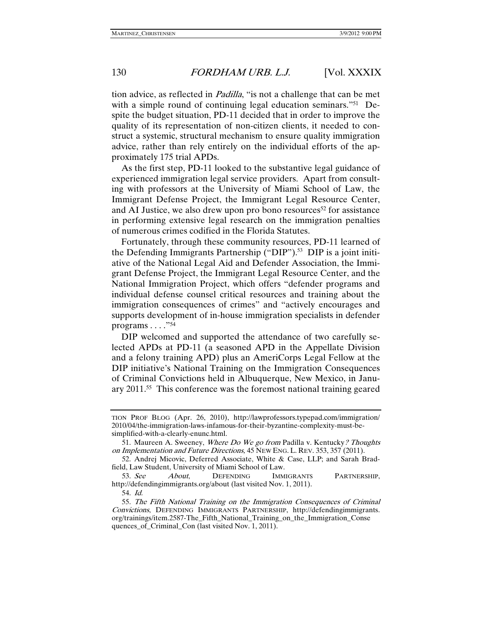tion advice, as reflected in Padilla, "is not a challenge that can be met with a simple round of continuing legal education seminars."<sup>51</sup> Despite the budget situation, PD-11 decided that in order to improve the quality of its representation of non-citizen clients, it needed to construct a systemic, structural mechanism to ensure quality immigration advice, rather than rely entirely on the individual efforts of the approximately 175 trial APDs.

As the first step, PD-11 looked to the substantive legal guidance of experienced immigration legal service providers. Apart from consulting with professors at the University of Miami School of Law, the Immigrant Defense Project, the Immigrant Legal Resource Center, and AI Justice, we also drew upon pro bono resources<sup>52</sup> for assistance in performing extensive legal research on the immigration penalties of numerous crimes codified in the Florida Statutes.

Fortunately, through these community resources, PD-11 learned of the Defending Immigrants Partnership ("DIP").<sup>53</sup> DIP is a joint initiative of the National Legal Aid and Defender Association, the Immigrant Defense Project, the Immigrant Legal Resource Center, and the National Immigration Project, which offers "defender programs and individual defense counsel critical resources and training about the immigration consequences of crimes" and "actively encourages and supports development of in-house immigration specialists in defender programs  $\ldots$ ."<sup>54</sup>

DIP welcomed and supported the attendance of two carefully selected APDs at PD-11 (a seasoned APD in the Appellate Division and a felony training APD) plus an AmeriCorps Legal Fellow at the DIP initiative's National Training on the Immigration Consequences of Criminal Convictions held in Albuquerque, New Mexico, in January 2011.55 This conference was the foremost national training geared

TION PROF BLOG (Apr. 26, 2010), http://lawprofessors.typepad.com/immigration/ 2010/04/the-immigration-laws-infamous-for-their-byzantine-complexity-must-besimplified-with-a-clearly-enunc.html.

<sup>51.</sup> Maureen A. Sweeney, Where Do We go from Padilla v. Kentucky? Thoughts on Implementation and Future Directions, 45 NEW ENG. L. REV. 353, 357 (2011).

 <sup>52.</sup> Andrej Micovic, Deferred Associate, White & Case, LLP; and Sarah Bradfield, Law Student, University of Miami School of Law.

<sup>53.</sup> See About, DEFENDING IMMIGRANTS PARTNERSHIP, http://defendingimmigrants.org/about (last visited Nov. 1, 2011).

 <sup>54.</sup> Id.

 <sup>55.</sup> The Fifth National Training on the Immigration Consequences of Criminal Convictions, DEFENDING IMMIGRANTS PARTNERSHIP, http://defendingimmigrants. org/trainings/item.2587-The\_Fifth\_National\_Training\_on\_the\_Immigration\_Conse quences\_of\_Criminal\_Con (last visited Nov. 1, 2011).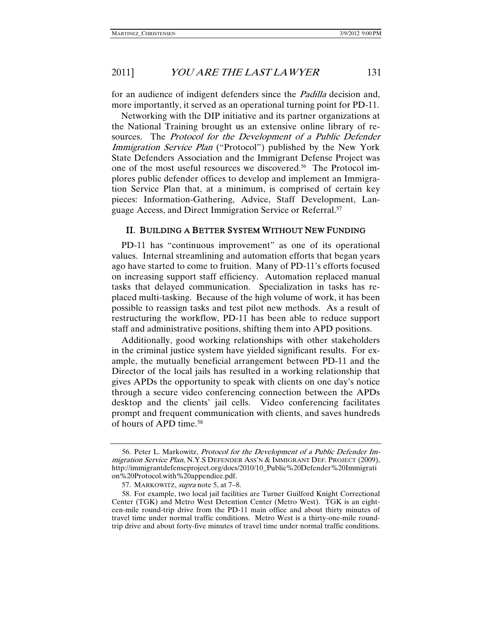for an audience of indigent defenders since the *Padilla* decision and, more importantly, it served as an operational turning point for PD-11.

Networking with the DIP initiative and its partner organizations at the National Training brought us an extensive online library of resources. The Protocol for the Development of a Public Defender Immigration Service Plan ("Protocol") published by the New York State Defenders Association and the Immigrant Defense Project was one of the most useful resources we discovered.<sup>56</sup> The Protocol implores public defender offices to develop and implement an Immigration Service Plan that, at a minimum, is comprised of certain key pieces: Information-Gathering, Advice, Staff Development, Language Access, and Direct Immigration Service or Referral.57

#### II. BUILDING A BETTER SYSTEM WITHOUT NEW FUNDING

PD-11 has "continuous improvement" as one of its operational values. Internal streamlining and automation efforts that began years ago have started to come to fruition. Many of PD-11's efforts focused on increasing support staff efficiency. Automation replaced manual tasks that delayed communication. Specialization in tasks has replaced multi-tasking. Because of the high volume of work, it has been possible to reassign tasks and test pilot new methods. As a result of restructuring the workflow, PD-11 has been able to reduce support staff and administrative positions, shifting them into APD positions.

Additionally, good working relationships with other stakeholders in the criminal justice system have yielded significant results. For example, the mutually beneficial arrangement between PD-11 and the Director of the local jails has resulted in a working relationship that gives APDs the opportunity to speak with clients on one day's notice through a secure video conferencing connection between the APDs desktop and the clients' jail cells. Video conferencing facilitates prompt and frequent communication with clients, and saves hundreds of hours of APD time.58

<sup>56.</sup> Peter L. Markowitz, Protocol for the Development of a Public Defender Immigration Service Plan, N.Y.S DEFENDER ASS'N & IMMIGRANT DEF. PROJECT (2009), http://immigrantdefenseproject.org/docs/2010/10\_Public%20Defender%20Immigrati on%20Protocol.with%20appendice.pdf.

<sup>57.</sup> MARKOWITZ, *supra* note 5, at 7-8.

 <sup>58.</sup> For example, two local jail facilities are Turner Guilford Knight Correctional Center (TGK) and Metro West Detention Center (Metro West). TGK is an eighteen-mile round-trip drive from the PD-11 main office and about thirty minutes of travel time under normal traffic conditions. Metro West is a thirty-one-mile roundtrip drive and about forty-five minutes of travel time under normal traffic conditions.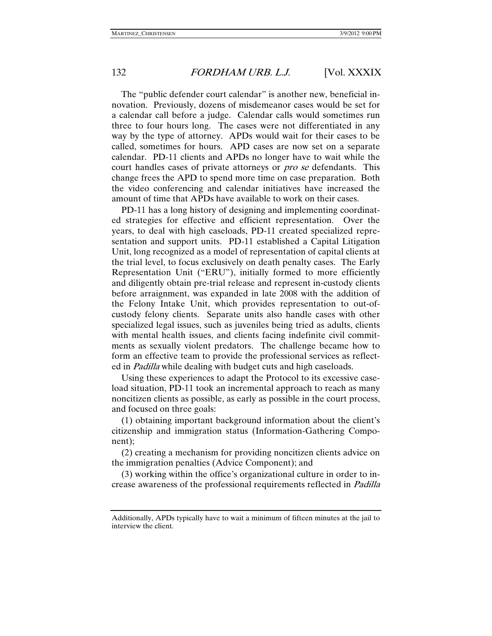The "public defender court calendar" is another new, beneficial innovation. Previously, dozens of misdemeanor cases would be set for a calendar call before a judge. Calendar calls would sometimes run three to four hours long. The cases were not differentiated in any way by the type of attorney. APDs would wait for their cases to be called, sometimes for hours. APD cases are now set on a separate calendar. PD-11 clients and APDs no longer have to wait while the court handles cases of private attorneys or *pro se* defendants. This change frees the APD to spend more time on case preparation. Both the video conferencing and calendar initiatives have increased the amount of time that APDs have available to work on their cases.

PD-11 has a long history of designing and implementing coordinated strategies for effective and efficient representation. Over the years, to deal with high caseloads, PD-11 created specialized representation and support units. PD-11 established a Capital Litigation Unit, long recognized as a model of representation of capital clients at the trial level, to focus exclusively on death penalty cases. The Early Representation Unit ("ERU"), initially formed to more efficiently and diligently obtain pre-trial release and represent in-custody clients before arraignment, was expanded in late 2008 with the addition of the Felony Intake Unit, which provides representation to out-ofcustody felony clients. Separate units also handle cases with other specialized legal issues, such as juveniles being tried as adults, clients with mental health issues, and clients facing indefinite civil commitments as sexually violent predators. The challenge became how to form an effective team to provide the professional services as reflected in Padilla while dealing with budget cuts and high caseloads.

Using these experiences to adapt the Protocol to its excessive caseload situation, PD-11 took an incremental approach to reach as many noncitizen clients as possible, as early as possible in the court process, and focused on three goals:

(1) obtaining important background information about the client's citizenship and immigration status (Information-Gathering Component);

(2) creating a mechanism for providing noncitizen clients advice on the immigration penalties (Advice Component); and

(3) working within the office's organizational culture in order to increase awareness of the professional requirements reflected in Padilla

Additionally, APDs typically have to wait a minimum of fifteen minutes at the jail to interview the client.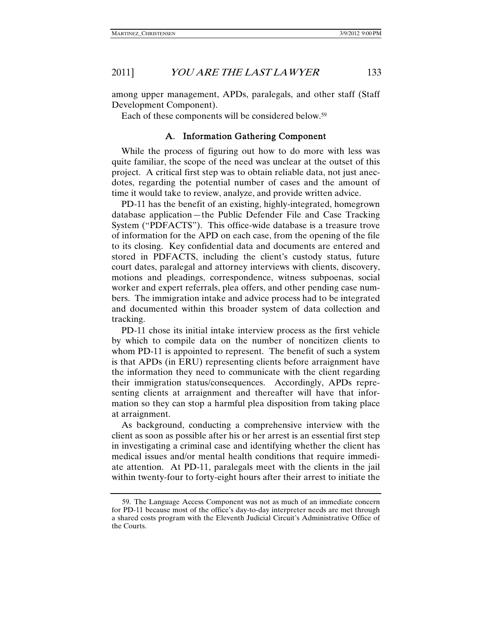among upper management, APDs, paralegals, and other staff (Staff Development Component).

Each of these components will be considered below.59

#### A. Information Gathering Component

While the process of figuring out how to do more with less was quite familiar, the scope of the need was unclear at the outset of this project. A critical first step was to obtain reliable data, not just anecdotes, regarding the potential number of cases and the amount of time it would take to review, analyze, and provide written advice.

PD-11 has the benefit of an existing, highly-integrated, homegrown database application—the Public Defender File and Case Tracking System ("PDFACTS"). This office-wide database is a treasure trove of information for the APD on each case, from the opening of the file to its closing. Key confidential data and documents are entered and stored in PDFACTS, including the client's custody status, future court dates, paralegal and attorney interviews with clients, discovery, motions and pleadings, correspondence, witness subpoenas, social worker and expert referrals, plea offers, and other pending case numbers. The immigration intake and advice process had to be integrated and documented within this broader system of data collection and tracking.

PD-11 chose its initial intake interview process as the first vehicle by which to compile data on the number of noncitizen clients to whom PD-11 is appointed to represent. The benefit of such a system is that APDs (in ERU) representing clients before arraignment have the information they need to communicate with the client regarding their immigration status/consequences. Accordingly, APDs representing clients at arraignment and thereafter will have that information so they can stop a harmful plea disposition from taking place at arraignment.

As background, conducting a comprehensive interview with the client as soon as possible after his or her arrest is an essential first step in investigating a criminal case and identifying whether the client has medical issues and/or mental health conditions that require immediate attention. At PD-11, paralegals meet with the clients in the jail within twenty-four to forty-eight hours after their arrest to initiate the

 <sup>59.</sup> The Language Access Component was not as much of an immediate concern for PD-11 because most of the office's day-to-day interpreter needs are met through a shared costs program with the Eleventh Judicial Circuit's Administrative Office of the Courts.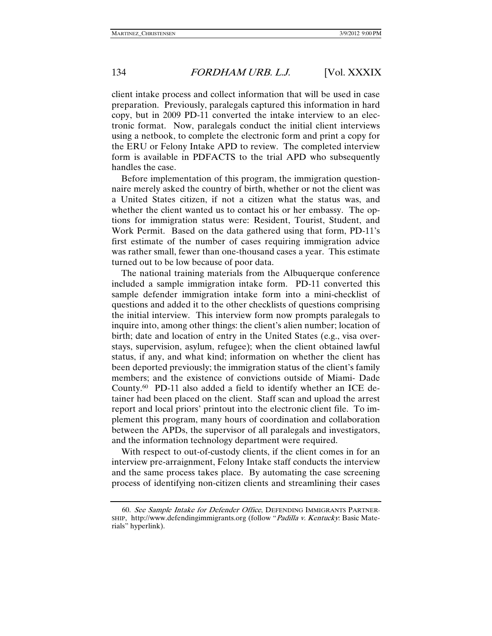client intake process and collect information that will be used in case preparation. Previously, paralegals captured this information in hard copy, but in 2009 PD-11 converted the intake interview to an electronic format. Now, paralegals conduct the initial client interviews using a netbook, to complete the electronic form and print a copy for the ERU or Felony Intake APD to review. The completed interview form is available in PDFACTS to the trial APD who subsequently handles the case.

Before implementation of this program, the immigration questionnaire merely asked the country of birth, whether or not the client was a United States citizen, if not a citizen what the status was, and whether the client wanted us to contact his or her embassy. The options for immigration status were: Resident, Tourist, Student, and Work Permit. Based on the data gathered using that form, PD-11's first estimate of the number of cases requiring immigration advice was rather small, fewer than one-thousand cases a year. This estimate turned out to be low because of poor data.

The national training materials from the Albuquerque conference included a sample immigration intake form. PD-11 converted this sample defender immigration intake form into a mini-checklist of questions and added it to the other checklists of questions comprising the initial interview. This interview form now prompts paralegals to inquire into, among other things: the client's alien number; location of birth; date and location of entry in the United States (e.g., visa overstays, supervision, asylum, refugee); when the client obtained lawful status, if any, and what kind; information on whether the client has been deported previously; the immigration status of the client's family members; and the existence of convictions outside of Miami- Dade County.60 PD-11 also added a field to identify whether an ICE detainer had been placed on the client. Staff scan and upload the arrest report and local priors' printout into the electronic client file. To implement this program, many hours of coordination and collaboration between the APDs, the supervisor of all paralegals and investigators, and the information technology department were required.

With respect to out-of-custody clients, if the client comes in for an interview pre-arraignment, Felony Intake staff conducts the interview and the same process takes place. By automating the case screening process of identifying non-citizen clients and streamlining their cases

 <sup>60.</sup> See Sample Intake for Defender Office, DEFENDING IMMIGRANTS PARTNER-SHIP, http://www.defendingimmigrants.org (follow "Padilla v. Kentucky: Basic Materials" hyperlink).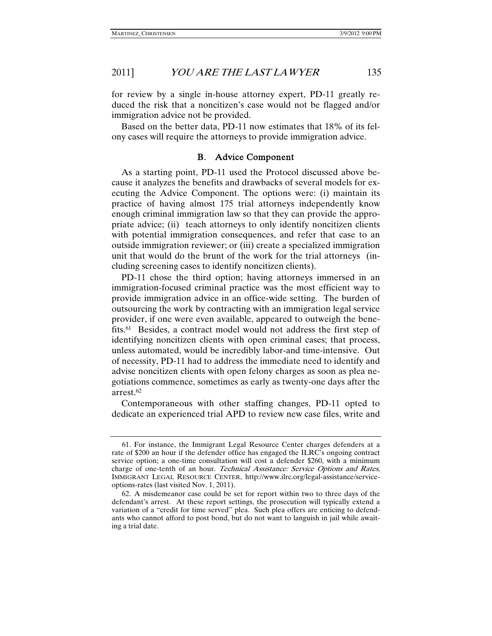for review by a single in-house attorney expert, PD-11 greatly reduced the risk that a noncitizen's case would not be flagged and/or immigration advice not be provided.

Based on the better data, PD-11 now estimates that 18% of its felony cases will require the attorneys to provide immigration advice.

#### B. Advice Component

As a starting point, PD-11 used the Protocol discussed above because it analyzes the benefits and drawbacks of several models for executing the Advice Component. The options were: (i) maintain its practice of having almost 175 trial attorneys independently know enough criminal immigration law so that they can provide the appropriate advice; (ii) teach attorneys to only identify noncitizen clients with potential immigration consequences, and refer that case to an outside immigration reviewer; or (iii) create a specialized immigration unit that would do the brunt of the work for the trial attorneys (including screening cases to identify noncitizen clients).

PD-11 chose the third option; having attorneys immersed in an immigration-focused criminal practice was the most efficient way to provide immigration advice in an office-wide setting. The burden of outsourcing the work by contracting with an immigration legal service provider, if one were even available, appeared to outweigh the benefits.61 Besides, a contract model would not address the first step of identifying noncitizen clients with open criminal cases; that process, unless automated, would be incredibly labor-and time-intensive. Out of necessity, PD-11 had to address the immediate need to identify and advise noncitizen clients with open felony charges as soon as plea negotiations commence, sometimes as early as twenty-one days after the arrest.62

Contemporaneous with other staffing changes, PD-11 opted to dedicate an experienced trial APD to review new case files, write and

 <sup>61.</sup> For instance, the Immigrant Legal Resource Center charges defenders at a rate of \$200 an hour if the defender office has engaged the ILRC's ongoing contract service option; a one-time consultation will cost a defender \$260, with a minimum charge of one-tenth of an hour. Technical Assistance: Service Options and Rates, IMMIGRANT LEGAL RESOURCE CENTER, http://www.ilrc.org/legal-assistance/serviceoptions-rates (last visited Nov. 1, 2011).

 <sup>62.</sup> A misdemeanor case could be set for report within two to three days of the defendant's arrest. At these report settings, the prosecution will typically extend a variation of a "credit for time served" plea. Such plea offers are enticing to defendants who cannot afford to post bond, but do not want to languish in jail while awaiting a trial date.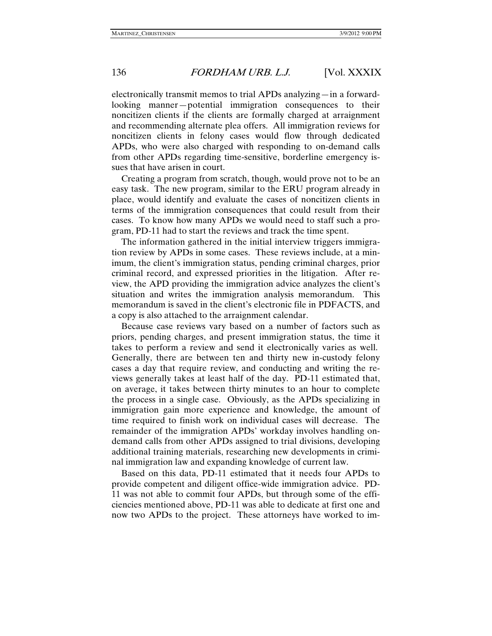electronically transmit memos to trial APDs analyzing—in a forwardlooking manner—potential immigration consequences to their noncitizen clients if the clients are formally charged at arraignment and recommending alternate plea offers. All immigration reviews for noncitizen clients in felony cases would flow through dedicated APDs, who were also charged with responding to on-demand calls from other APDs regarding time-sensitive, borderline emergency issues that have arisen in court.

Creating a program from scratch, though, would prove not to be an easy task. The new program, similar to the ERU program already in place, would identify and evaluate the cases of noncitizen clients in terms of the immigration consequences that could result from their cases. To know how many APDs we would need to staff such a program, PD-11 had to start the reviews and track the time spent.

The information gathered in the initial interview triggers immigration review by APDs in some cases. These reviews include, at a minimum, the client's immigration status, pending criminal charges, prior criminal record, and expressed priorities in the litigation. After review, the APD providing the immigration advice analyzes the client's situation and writes the immigration analysis memorandum. This memorandum is saved in the client's electronic file in PDFACTS, and a copy is also attached to the arraignment calendar.

Because case reviews vary based on a number of factors such as priors, pending charges, and present immigration status, the time it takes to perform a review and send it electronically varies as well. Generally, there are between ten and thirty new in-custody felony cases a day that require review, and conducting and writing the reviews generally takes at least half of the day. PD-11 estimated that, on average, it takes between thirty minutes to an hour to complete the process in a single case. Obviously, as the APDs specializing in immigration gain more experience and knowledge, the amount of time required to finish work on individual cases will decrease. The remainder of the immigration APDs' workday involves handling ondemand calls from other APDs assigned to trial divisions, developing additional training materials, researching new developments in criminal immigration law and expanding knowledge of current law.

Based on this data, PD-11 estimated that it needs four APDs to provide competent and diligent office-wide immigration advice. PD-11 was not able to commit four APDs, but through some of the efficiencies mentioned above, PD-11 was able to dedicate at first one and now two APDs to the project. These attorneys have worked to im-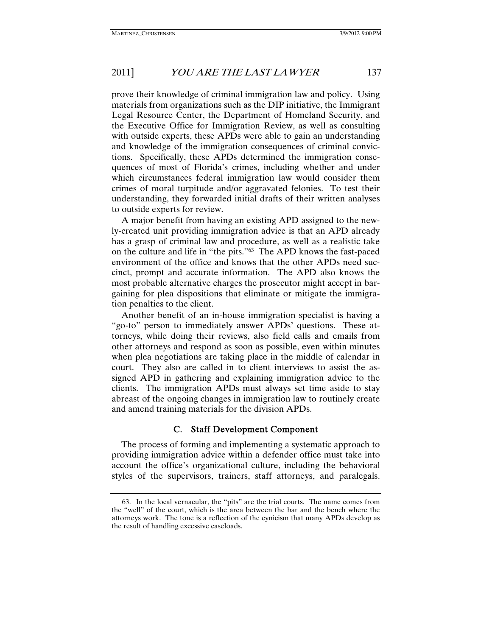prove their knowledge of criminal immigration law and policy. Using materials from organizations such as the DIP initiative, the Immigrant Legal Resource Center, the Department of Homeland Security, and the Executive Office for Immigration Review, as well as consulting with outside experts, these APDs were able to gain an understanding and knowledge of the immigration consequences of criminal convictions. Specifically, these APDs determined the immigration consequences of most of Florida's crimes, including whether and under which circumstances federal immigration law would consider them crimes of moral turpitude and/or aggravated felonies. To test their understanding, they forwarded initial drafts of their written analyses to outside experts for review.

A major benefit from having an existing APD assigned to the newly-created unit providing immigration advice is that an APD already has a grasp of criminal law and procedure, as well as a realistic take on the culture and life in "the pits."63 The APD knows the fast-paced environment of the office and knows that the other APDs need succinct, prompt and accurate information. The APD also knows the most probable alternative charges the prosecutor might accept in bargaining for plea dispositions that eliminate or mitigate the immigration penalties to the client.

Another benefit of an in-house immigration specialist is having a "go-to" person to immediately answer APDs' questions. These attorneys, while doing their reviews, also field calls and emails from other attorneys and respond as soon as possible, even within minutes when plea negotiations are taking place in the middle of calendar in court. They also are called in to client interviews to assist the assigned APD in gathering and explaining immigration advice to the clients. The immigration APDs must always set time aside to stay abreast of the ongoing changes in immigration law to routinely create and amend training materials for the division APDs.

#### C. Staff Development Component

The process of forming and implementing a systematic approach to providing immigration advice within a defender office must take into account the office's organizational culture, including the behavioral styles of the supervisors, trainers, staff attorneys, and paralegals.

 <sup>63.</sup> In the local vernacular, the "pits" are the trial courts. The name comes from the "well" of the court, which is the area between the bar and the bench where the attorneys work. The tone is a reflection of the cynicism that many APDs develop as the result of handling excessive caseloads.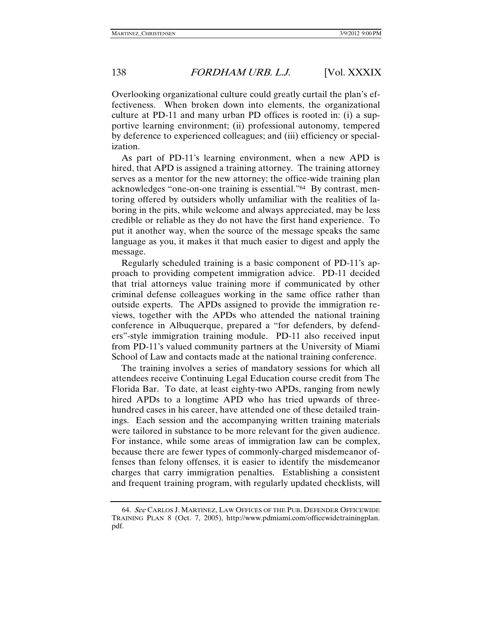Overlooking organizational culture could greatly curtail the plan's effectiveness. When broken down into elements, the organizational culture at PD-11 and many urban PD offices is rooted in: (i) a supportive learning environment; (ii) professional autonomy, tempered by deference to experienced colleagues; and (iii) efficiency or specialization.

As part of PD-11's learning environment, when a new APD is hired, that APD is assigned a training attorney. The training attorney serves as a mentor for the new attorney; the office-wide training plan acknowledges "one-on-one training is essential."64 By contrast, mentoring offered by outsiders wholly unfamiliar with the realities of laboring in the pits, while welcome and always appreciated, may be less credible or reliable as they do not have the first hand experience. To put it another way, when the source of the message speaks the same language as you, it makes it that much easier to digest and apply the message.

Regularly scheduled training is a basic component of PD-11's approach to providing competent immigration advice. PD-11 decided that trial attorneys value training more if communicated by other criminal defense colleagues working in the same office rather than outside experts. The APDs assigned to provide the immigration reviews, together with the APDs who attended the national training conference in Albuquerque, prepared a "for defenders, by defenders"-style immigration training module. PD-11 also received input from PD-11's valued community partners at the University of Miami School of Law and contacts made at the national training conference.

The training involves a series of mandatory sessions for which all attendees receive Continuing Legal Education course credit from The Florida Bar. To date, at least eighty-two APDs, ranging from newly hired APDs to a longtime APD who has tried upwards of threehundred cases in his career, have attended one of these detailed trainings. Each session and the accompanying written training materials were tailored in substance to be more relevant for the given audience. For instance, while some areas of immigration law can be complex, because there are fewer types of commonly-charged misdemeanor offenses than felony offenses, it is easier to identify the misdemeanor charges that carry immigration penalties. Establishing a consistent and frequent training program, with regularly updated checklists, will

 <sup>64.</sup> See CARLOS J. MARTINEZ, LAW OFFICES OF THE PUB. DEFENDER OFFICEWIDE TRAINING PLAN 8 (Oct. 7, 2005), http://www.pdmiami.com/officewidetrainingplan. pdf.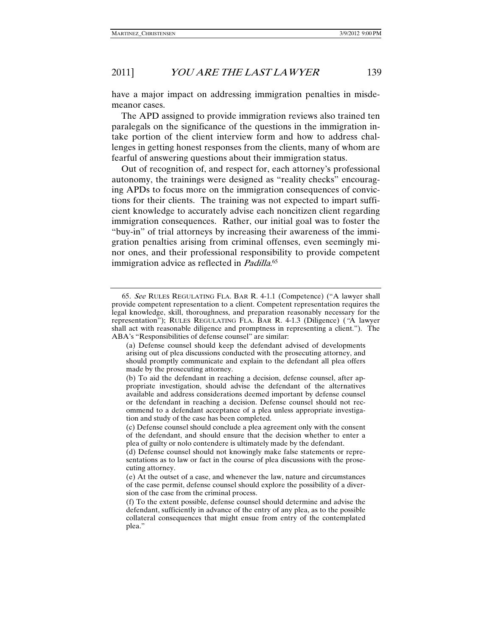have a major impact on addressing immigration penalties in misdemeanor cases.

The APD assigned to provide immigration reviews also trained ten paralegals on the significance of the questions in the immigration intake portion of the client interview form and how to address challenges in getting honest responses from the clients, many of whom are fearful of answering questions about their immigration status.

Out of recognition of, and respect for, each attorney's professional autonomy, the trainings were designed as "reality checks" encouraging APDs to focus more on the immigration consequences of convictions for their clients. The training was not expected to impart sufficient knowledge to accurately advise each noncitizen client regarding immigration consequences. Rather, our initial goal was to foster the "buy-in" of trial attorneys by increasing their awareness of the immigration penalties arising from criminal offenses, even seemingly minor ones, and their professional responsibility to provide competent immigration advice as reflected in *Padilla*.<sup>65</sup>

<sup>65</sup>. See RULES REGULATING FLA. BAR R. 4-1.1 (Competence) ("A lawyer shall provide competent representation to a client. Competent representation requires the legal knowledge, skill, thoroughness, and preparation reasonably necessary for the representation"); RULES REGULATING FLA. BAR R. 4-1.3 (Diligence) ("A lawyer shall act with reasonable diligence and promptness in representing a client."). The ABA's "Responsibilities of defense counsel" are similar:

<sup>(</sup>a) Defense counsel should keep the defendant advised of developments arising out of plea discussions conducted with the prosecuting attorney, and should promptly communicate and explain to the defendant all plea offers made by the prosecuting attorney.

<sup>(</sup>b) To aid the defendant in reaching a decision, defense counsel, after appropriate investigation, should advise the defendant of the alternatives available and address considerations deemed important by defense counsel or the defendant in reaching a decision. Defense counsel should not recommend to a defendant acceptance of a plea unless appropriate investigation and study of the case has been completed.

<sup>(</sup>c) Defense counsel should conclude a plea agreement only with the consent of the defendant, and should ensure that the decision whether to enter a plea of guilty or nolo contendere is ultimately made by the defendant.

<sup>(</sup>d) Defense counsel should not knowingly make false statements or representations as to law or fact in the course of plea discussions with the prosecuting attorney.

<sup>(</sup>e) At the outset of a case, and whenever the law, nature and circumstances of the case permit, defense counsel should explore the possibility of a diversion of the case from the criminal process.

<sup>(</sup>f) To the extent possible, defense counsel should determine and advise the defendant, sufficiently in advance of the entry of any plea, as to the possible collateral consequences that might ensue from entry of the contemplated plea."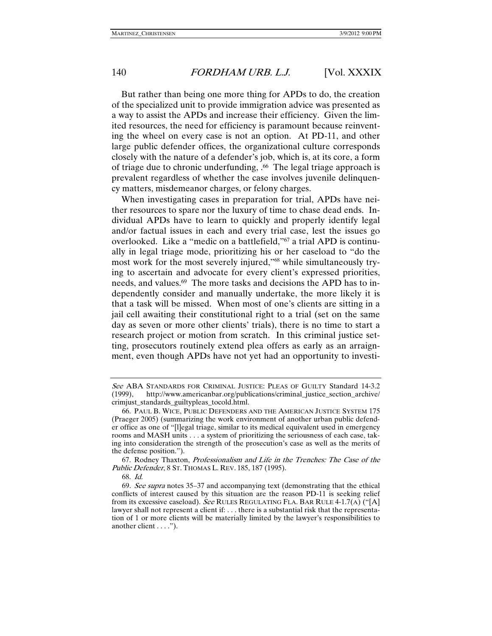But rather than being one more thing for APDs to do, the creation of the specialized unit to provide immigration advice was presented as a way to assist the APDs and increase their efficiency. Given the limited resources, the need for efficiency is paramount because reinventing the wheel on every case is not an option. At PD-11, and other large public defender offices, the organizational culture corresponds closely with the nature of a defender's job, which is, at its core, a form of triage due to chronic underfunding, .<sup>66</sup> The legal triage approach is prevalent regardless of whether the case involves juvenile delinquency matters, misdemeanor charges, or felony charges.

When investigating cases in preparation for trial, APDs have neither resources to spare nor the luxury of time to chase dead ends. Individual APDs have to learn to quickly and properly identify legal and/or factual issues in each and every trial case, lest the issues go overlooked. Like a "medic on a battlefield,"67 a trial APD is continually in legal triage mode, prioritizing his or her caseload to "do the most work for the most severely injured,"68 while simultaneously trying to ascertain and advocate for every client's expressed priorities, needs, and values.<sup>69</sup> The more tasks and decisions the APD has to independently consider and manually undertake, the more likely it is that a task will be missed. When most of one's clients are sitting in a jail cell awaiting their constitutional right to a trial (set on the same day as seven or more other clients' trials), there is no time to start a research project or motion from scratch. In this criminal justice setting, prosecutors routinely extend plea offers as early as an arraignment, even though APDs have not yet had an opportunity to investi-

 67. Rodney Thaxton, Professionalism and Life in the Trenches: The Case of the Public Defender, 8 ST. THOMAS L. REV. 185, 187 (1995).

See ABA STANDARDS FOR CRIMINAL JUSTICE: PLEAS OF GUILTY Standard 14-3.2 (1999), http://www.americanbar.org/publications/criminal\_justice\_section\_archive/ crimjust\_standards\_guiltypleas\_tocold.html.

 <sup>66.</sup> PAUL B. WICE, PUBLIC DEFENDERS AND THE AMERICAN JUSTICE SYSTEM 175 (Praeger 2005) (summarizing the work environment of another urban public defender office as one of "[l]egal triage, similar to its medical equivalent used in emergency rooms and MASH units . . . a system of prioritizing the seriousness of each case, taking into consideration the strength of the prosecution's case as well as the merits of the defense position.").

 <sup>68.</sup> Id.

<sup>69.</sup> See supra notes 35-37 and accompanying text (demonstrating that the ethical conflicts of interest caused by this situation are the reason PD-11 is seeking relief from its excessive caseload). See RULES REGULATING FLA. BAR RULE 4-1.7(A) ("[A] lawyer shall not represent a client if: . . . there is a substantial risk that the representation of 1 or more clients will be materially limited by the lawyer's responsibilities to another client . . . .").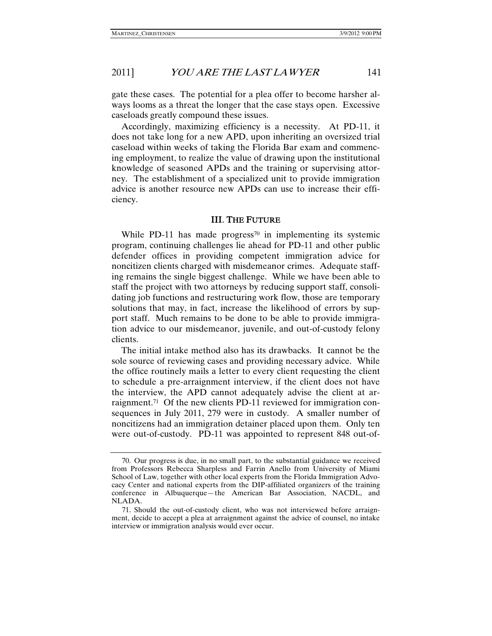gate these cases. The potential for a plea offer to become harsher always looms as a threat the longer that the case stays open. Excessive caseloads greatly compound these issues.

Accordingly, maximizing efficiency is a necessity. At PD-11, it does not take long for a new APD, upon inheriting an oversized trial caseload within weeks of taking the Florida Bar exam and commencing employment, to realize the value of drawing upon the institutional knowledge of seasoned APDs and the training or supervising attorney. The establishment of a specialized unit to provide immigration advice is another resource new APDs can use to increase their efficiency.

#### III. THE FUTURE

While PD-11 has made progress<sup>70</sup> in implementing its systemic program, continuing challenges lie ahead for PD-11 and other public defender offices in providing competent immigration advice for noncitizen clients charged with misdemeanor crimes. Adequate staffing remains the single biggest challenge. While we have been able to staff the project with two attorneys by reducing support staff, consolidating job functions and restructuring work flow, those are temporary solutions that may, in fact, increase the likelihood of errors by support staff. Much remains to be done to be able to provide immigration advice to our misdemeanor, juvenile, and out-of-custody felony clients.

The initial intake method also has its drawbacks. It cannot be the sole source of reviewing cases and providing necessary advice. While the office routinely mails a letter to every client requesting the client to schedule a pre-arraignment interview, if the client does not have the interview, the APD cannot adequately advise the client at arraignment.71 Of the new clients PD-11 reviewed for immigration consequences in July 2011, 279 were in custody. A smaller number of noncitizens had an immigration detainer placed upon them. Only ten were out-of-custody. PD-11 was appointed to represent 848 out-of-

 <sup>70.</sup> Our progress is due, in no small part, to the substantial guidance we received from Professors Rebecca Sharpless and Farrin Anello from University of Miami School of Law, together with other local experts from the Florida Immigration Advocacy Center and national experts from the DIP-affiliated organizers of the training conference in Albuquerque—the American Bar Association, NACDL, and NLADA.

 <sup>71.</sup> Should the out-of-custody client, who was not interviewed before arraignment, decide to accept a plea at arraignment against the advice of counsel, no intake interview or immigration analysis would ever occur.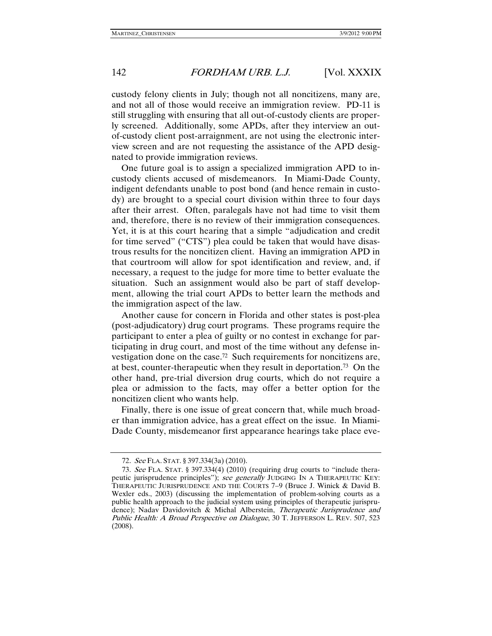custody felony clients in July; though not all noncitizens, many are, and not all of those would receive an immigration review. PD-11 is still struggling with ensuring that all out-of-custody clients are properly screened. Additionally, some APDs, after they interview an outof-custody client post-arraignment, are not using the electronic interview screen and are not requesting the assistance of the APD designated to provide immigration reviews.

One future goal is to assign a specialized immigration APD to incustody clients accused of misdemeanors. In Miami-Dade County, indigent defendants unable to post bond (and hence remain in custody) are brought to a special court division within three to four days after their arrest. Often, paralegals have not had time to visit them and, therefore, there is no review of their immigration consequences. Yet, it is at this court hearing that a simple "adjudication and credit for time served" ("CTS") plea could be taken that would have disastrous results for the noncitizen client. Having an immigration APD in that courtroom will allow for spot identification and review, and, if necessary, a request to the judge for more time to better evaluate the situation. Such an assignment would also be part of staff development, allowing the trial court APDs to better learn the methods and the immigration aspect of the law.

Another cause for concern in Florida and other states is post-plea (post-adjudicatory) drug court programs. These programs require the participant to enter a plea of guilty or no contest in exchange for participating in drug court, and most of the time without any defense investigation done on the case.72 Such requirements for noncitizens are, at best, counter-therapeutic when they result in deportation.73 On the other hand, pre-trial diversion drug courts, which do not require a plea or admission to the facts, may offer a better option for the noncitizen client who wants help.

Finally, there is one issue of great concern that, while much broader than immigration advice, has a great effect on the issue. In Miami-Dade County, misdemeanor first appearance hearings take place eve-

<sup>72</sup>. See FLA. STAT. § 397.334(3a) (2010).

<sup>73</sup>. See FLA. STAT. § 397.334(4) (2010) (requiring drug courts to "include therapeutic jurisprudence principles"); see generally JUDGING IN A THERAPEUTIC KEY: THERAPEUTIC JURISPRUDENCE AND THE COURTS 7–9 (Bruce J. Winick & David B. Wexler eds., 2003) (discussing the implementation of problem-solving courts as a public health approach to the judicial system using principles of therapeutic jurisprudence); Nadav Davidovitch & Michal Alberstein, Therapeutic Jurisprudence and Public Health: A Broad Perspective on Dialogue, 30 T. JEFFERSON L. REV. 507, 523 (2008).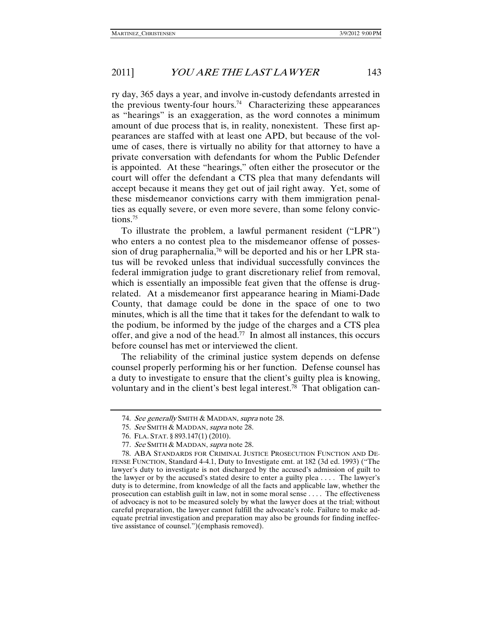ry day, 365 days a year, and involve in-custody defendants arrested in the previous twenty-four hours.<sup>74</sup> Characterizing these appearances as "hearings" is an exaggeration, as the word connotes a minimum amount of due process that is, in reality, nonexistent. These first appearances are staffed with at least one APD, but because of the volume of cases, there is virtually no ability for that attorney to have a private conversation with defendants for whom the Public Defender is appointed. At these "hearings," often either the prosecutor or the court will offer the defendant a CTS plea that many defendants will accept because it means they get out of jail right away. Yet, some of these misdemeanor convictions carry with them immigration penalties as equally severe, or even more severe, than some felony convictions.<sup>75</sup>

To illustrate the problem, a lawful permanent resident ("LPR") who enters a no contest plea to the misdemeanor offense of possession of drug paraphernalia,<sup>76</sup> will be deported and his or her LPR status will be revoked unless that individual successfully convinces the federal immigration judge to grant discretionary relief from removal, which is essentially an impossible feat given that the offense is drugrelated. At a misdemeanor first appearance hearing in Miami-Dade County, that damage could be done in the space of one to two minutes, which is all the time that it takes for the defendant to walk to the podium, be informed by the judge of the charges and a CTS plea offer, and give a nod of the head.77 In almost all instances, this occurs before counsel has met or interviewed the client.

The reliability of the criminal justice system depends on defense counsel properly performing his or her function. Defense counsel has a duty to investigate to ensure that the client's guilty plea is knowing, voluntary and in the client's best legal interest.78 That obligation can-

<sup>74.</sup> See generally SMITH & MADDAN, supra note 28.

 <sup>75.</sup> See SMITH & MADDAN, supra note 28.

 <sup>76.</sup> FLA. STAT. § 893.147(1) (2010).

<sup>77</sup>. See SMITH & MADDAN, supra note 28.

 <sup>78.</sup> ABA STANDARDS FOR CRIMINAL JUSTICE PROSECUTION FUNCTION AND DE-FENSE FUNCTION, Standard 4-4.1, Duty to Investigate cmt. at 182 (3d ed. 1993) ("The lawyer's duty to investigate is not discharged by the accused's admission of guilt to the lawyer or by the accused's stated desire to enter a guilty plea . . . . The lawyer's duty is to determine, from knowledge of all the facts and applicable law, whether the prosecution can establish guilt in law, not in some moral sense . . . . The effectiveness of advocacy is not to be measured solely by what the lawyer does at the trial; without careful preparation, the lawyer cannot fulfill the advocate's role. Failure to make adequate pretrial investigation and preparation may also be grounds for finding ineffective assistance of counsel.")(emphasis removed).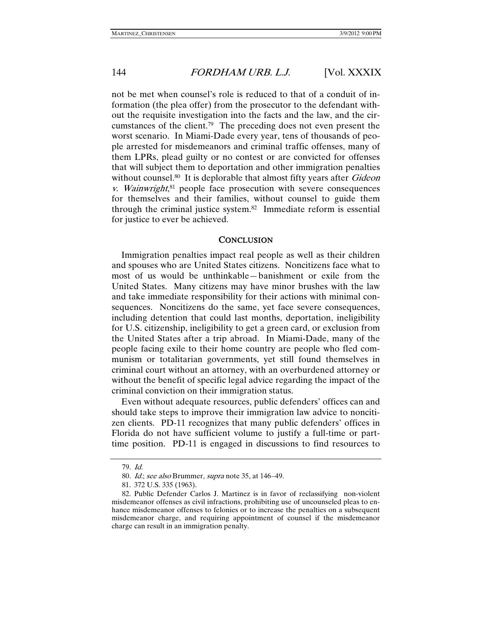not be met when counsel's role is reduced to that of a conduit of information (the plea offer) from the prosecutor to the defendant without the requisite investigation into the facts and the law, and the circumstances of the client.79 The preceding does not even present the worst scenario. In Miami-Dade every year, tens of thousands of people arrested for misdemeanors and criminal traffic offenses, many of them LPRs, plead guilty or no contest or are convicted for offenses that will subject them to deportation and other immigration penalties without counsel.<sup>80</sup> It is deplorable that almost fifty years after *Gideon* v. Wainwright, 81 people face prosecution with severe consequences for themselves and their families, without counsel to guide them through the criminal justice system.82 Immediate reform is essential for justice to ever be achieved.

#### **CONCLUSION**

Immigration penalties impact real people as well as their children and spouses who are United States citizens. Noncitizens face what to most of us would be unthinkable—banishment or exile from the United States. Many citizens may have minor brushes with the law and take immediate responsibility for their actions with minimal consequences. Noncitizens do the same, yet face severe consequences, including detention that could last months, deportation, ineligibility for U.S. citizenship, ineligibility to get a green card, or exclusion from the United States after a trip abroad. In Miami-Dade, many of the people facing exile to their home country are people who fled communism or totalitarian governments, yet still found themselves in criminal court without an attorney, with an overburdened attorney or without the benefit of specific legal advice regarding the impact of the criminal conviction on their immigration status.

Even without adequate resources, public defenders' offices can and should take steps to improve their immigration law advice to noncitizen clients. PD-11 recognizes that many public defenders' offices in Florida do not have sufficient volume to justify a full-time or parttime position. PD-11 is engaged in discussions to find resources to

<sup>79</sup>. Id.

<sup>80</sup>. Id.; see also Brummer, supra note 35, at 146–49.

 <sup>81. 372</sup> U.S. 335 (1963).

 <sup>82.</sup> Public Defender Carlos J. Martinez is in favor of reclassifying non-violent misdemeanor offenses as civil infractions, prohibiting use of uncounseled pleas to enhance misdemeanor offenses to felonies or to increase the penalties on a subsequent misdemeanor charge, and requiring appointment of counsel if the misdemeanor charge can result in an immigration penalty.